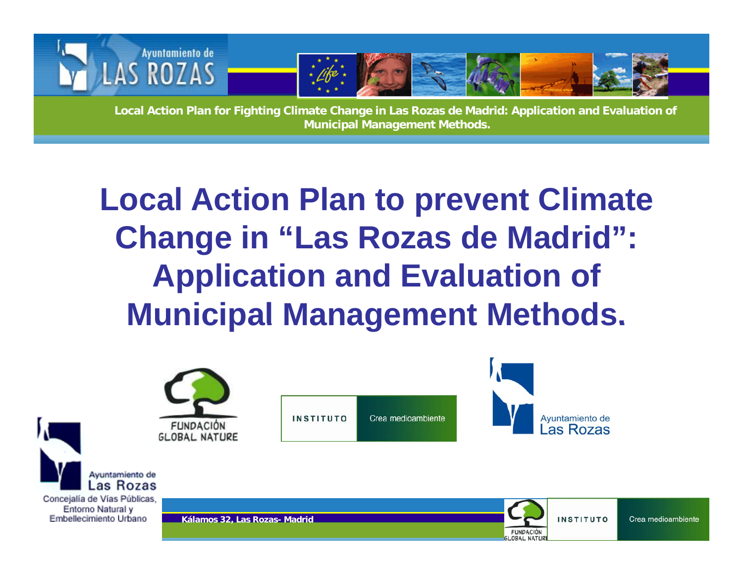

#### **Local Action Plan to prevent Climate Change in "Las Rozas de Madrid": Application and Evaluation of Municipal Management Methods.**

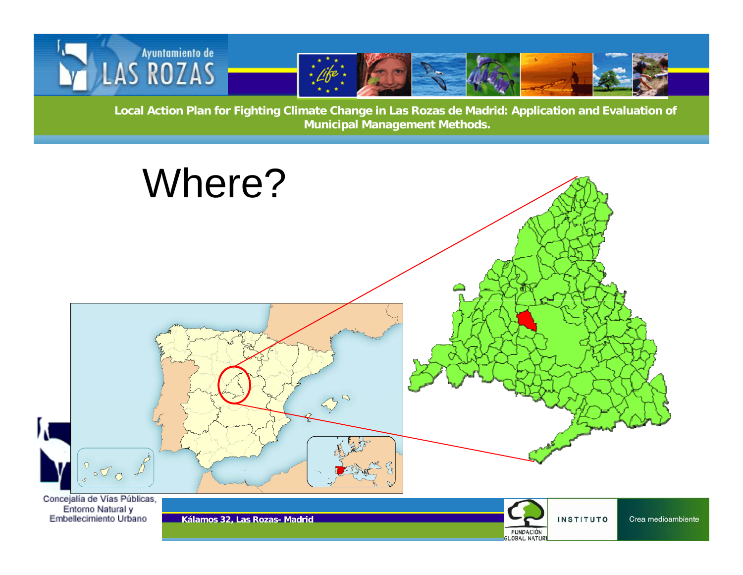

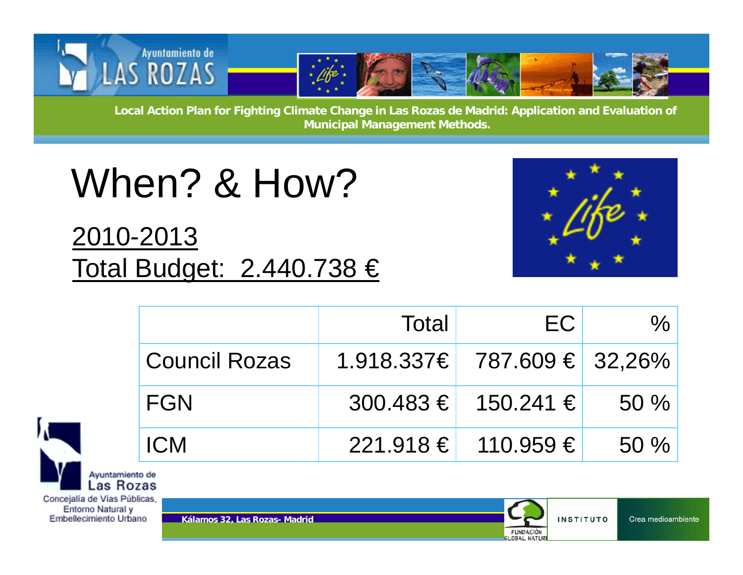





|                      | <b>Total</b> | EC.                         |     |
|----------------------|--------------|-----------------------------|-----|
| <b>Council Rozas</b> |              | 1.918.337€ 787.609 € 32,26% |     |
| <b>FGN</b>           |              | $300.483 \in 150.241 \in$   | 50% |
| <b>ICM</b>           |              | $221.918 \in$ 110.959 €     | 50% |



**Kálamos 32, Las Rozas- Madrid**

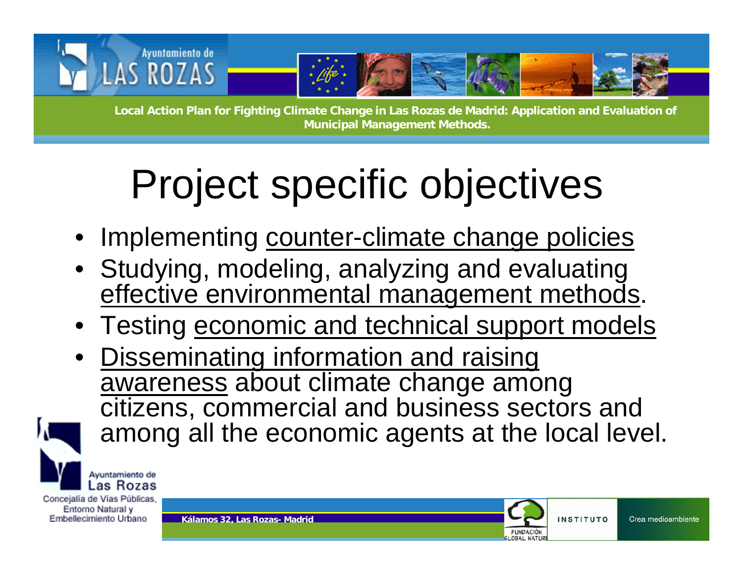

# Project specific objectives<br>
plementing counter-climate change polic

- •Implementing counter-climate change policies
- • Studying, modeling, analyzing and evaluating effective environmental management methods.
- •Testing economic and technical support models
- • Disseminating information and raising <u>awareness</u> about climate change among citizens, commercial and business sectors and among all the economic agents at the local level.

**Kálamos 32, Las Rozas- Madrid**



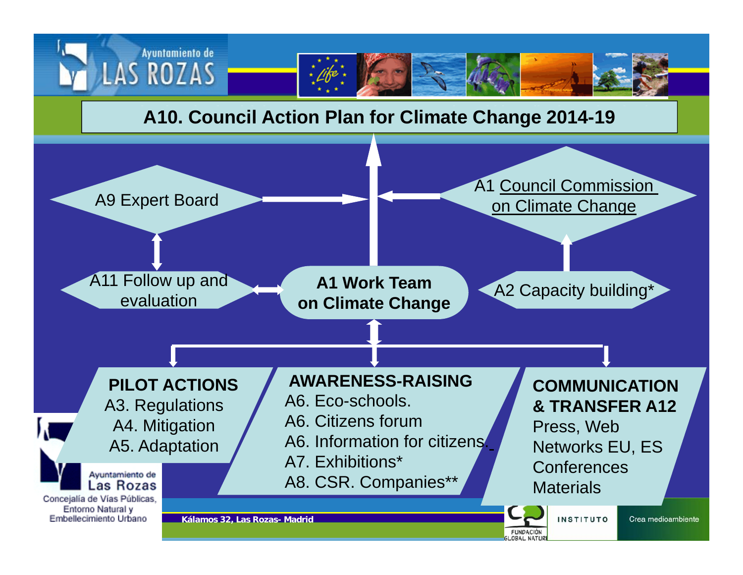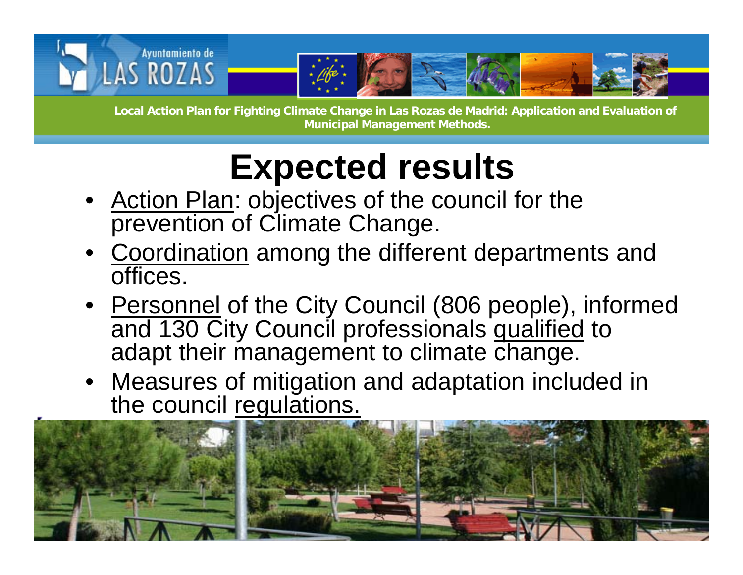

- Action Plan: objectives of the council for the prevention of Climate Change.
- Coordination among the different departments and offices.
- Personnel of the City Council (806 people), informed and 130 City Council professionals qualified to adapt their management to climate change.
- Measures of mitigation and adaptation included in the council regulations.

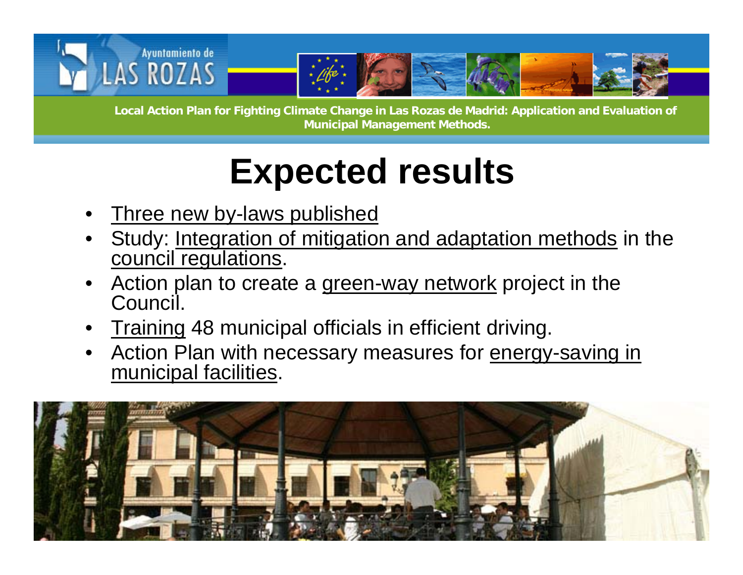

- •Three new by-laws published
- • Study: Integration of mitigation and adaptation methods in the council regulations.
- • Action plan to create a green-way network project in the Council.
- •• Training 48 municipal officials in efficient driving.
- • Action Plan with necessary measures for energy-saving in municipal facilities.

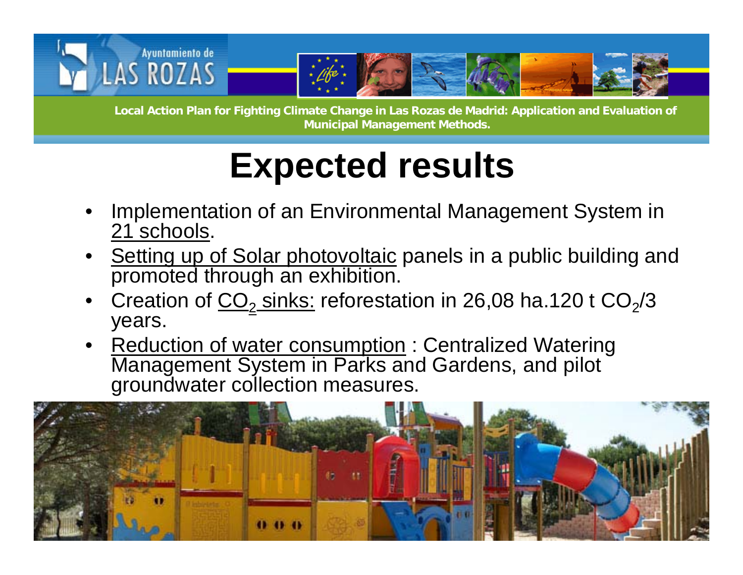

- • Implementation of an Environmental Management System in 21 schools.
- •• Setting up of Solar photovoltaic panels in a public building and promoted through an exhibition.
- •Creation of  $\underline{\text{CO}}_2$  sinks: reforestation in 26,08 ha.120 t  $\text{CO}_2\text{/}3$ years.
- • Reduction of water consumption : Centralized Watering Management System in Parks and Gardens, and pilot groundwater collection measures.

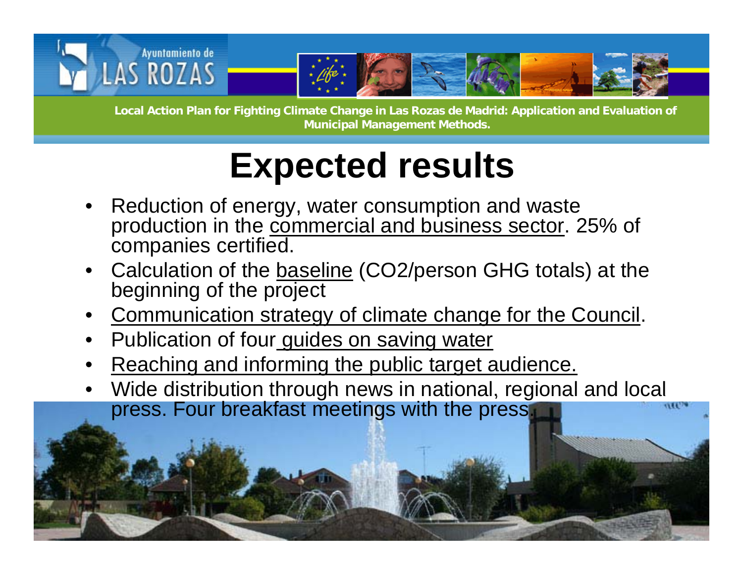

- • Reduction of energy, water consumption and waste production in the commercial and business sector. 25% of companies certified.
- •Calculation of the **baseline** (CO2/person GHG totals) at the beginning of the project
- •Communication strategy of climate change for the Council.
- •Publication of four guides on saving water
- •Reaching and informing the public target audience.